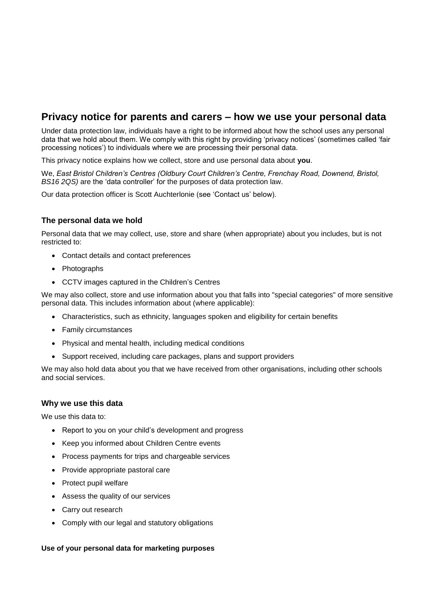# **Privacy notice for parents and carers – how we use your personal data**

Under data protection law, individuals have a right to be informed about how the school uses any personal data that we hold about them. We comply with this right by providing 'privacy notices' (sometimes called 'fair processing notices') to individuals where we are processing their personal data.

This privacy notice explains how we collect, store and use personal data about **you**.

We, *East Bristol Children's Centres (Oldbury Court Children's Centre, Frenchay Road, Downend, Bristol, BS16 2QS)* are the 'data controller' for the purposes of data protection law.

Our data protection officer is Scott Auchterlonie (see 'Contact us' below).

# **The personal data we hold**

Personal data that we may collect, use, store and share (when appropriate) about you includes, but is not restricted to:

- Contact details and contact preferences
- Photographs
- CCTV images captured in the Children's Centres

We may also collect, store and use information about you that falls into "special categories" of more sensitive personal data. This includes information about (where applicable):

- Characteristics, such as ethnicity, languages spoken and eligibility for certain benefits
- Family circumstances
- Physical and mental health, including medical conditions
- Support received, including care packages, plans and support providers

We may also hold data about you that we have received from other organisations, including other schools and social services.

# **Why we use this data**

We use this data to:

- Report to you on your child's development and progress
- Keep you informed about Children Centre events
- Process payments for trips and chargeable services
- Provide appropriate pastoral care
- Protect pupil welfare
- Assess the quality of our services
- Carry out research
- Comply with our legal and statutory obligations

#### **Use of your personal data for marketing purposes**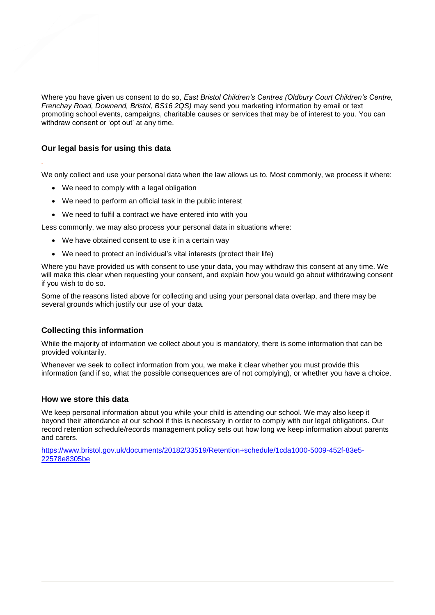Where you have given us consent to do so, *East Bristol Children's Centres (Oldbury Court Children's Centre, Frenchay Road, Downend, Bristol, BS16 2QS)* may send you marketing information by email or text promoting school events, campaigns, charitable causes or services that may be of interest to you. You can withdraw consent or 'opt out' at any time.

# **Our legal basis for using this data**

*.*

We only collect and use your personal data when the law allows us to. Most commonly, we process it where:

- We need to comply with a legal obligation
- We need to perform an official task in the public interest
- We need to fulfil a contract we have entered into with you

Less commonly, we may also process your personal data in situations where:

- We have obtained consent to use it in a certain way
- We need to protect an individual's vital interests (protect their life)

Where you have provided us with consent to use your data, you may withdraw this consent at any time. We will make this clear when requesting your consent, and explain how you would go about withdrawing consent if you wish to do so.

Some of the reasons listed above for collecting and using your personal data overlap, and there may be several grounds which justify our use of your data.

# **Collecting this information**

While the majority of information we collect about you is mandatory, there is some information that can be provided voluntarily.

Whenever we seek to collect information from you, we make it clear whether you must provide this information (and if so, what the possible consequences are of not complying), or whether you have a choice.

# **How we store this data**

We keep personal information about you while your child is attending our school. We may also keep it beyond their attendance at our school if this is necessary in order to comply with our legal obligations. Our record retention schedule/records management policy sets out how long we keep information about parents and carers.

[https://www.bristol.gov.uk/documents/20182/33519/Retention+schedule/1cda1000-5009-452f-83e5-](https://www.bristol.gov.uk/documents/20182/33519/Retention+schedule/1cda1000-5009-452f-83e5-22578e8305be) [22578e8305be](https://www.bristol.gov.uk/documents/20182/33519/Retention+schedule/1cda1000-5009-452f-83e5-22578e8305be)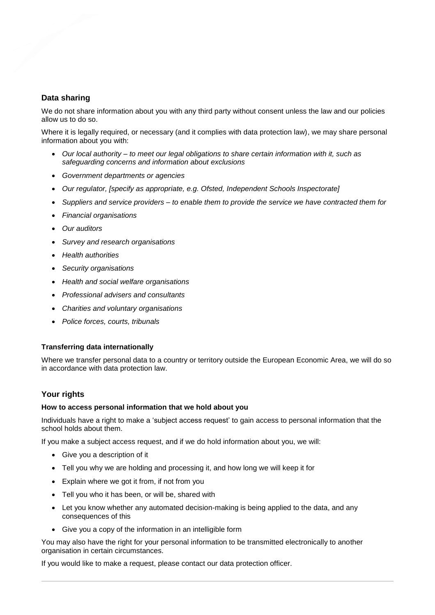# **Data sharing**

We do not share information about you with any third party without consent unless the law and our policies allow us to do so.

Where it is legally required, or necessary (and it complies with data protection law), we may share personal information about you with:

- *Our local authority – to meet our legal obligations to share certain information with it, such as safeguarding concerns and information about exclusions*
- *Government departments or agencies*
- *Our regulator, [specify as appropriate, e.g. Ofsted, Independent Schools Inspectorate]*
- *Suppliers and service providers – to enable them to provide the service we have contracted them for*
- *Financial organisations*
- *Our auditors*
- *Survey and research organisations*
- *Health authorities*
- *Security organisations*
- *Health and social welfare organisations*
- *Professional advisers and consultants*
- *Charities and voluntary organisations*
- *Police forces, courts, tribunals*

#### **Transferring data internationally**

Where we transfer personal data to a country or territory outside the European Economic Area, we will do so in accordance with data protection law.

# **Your rights**

#### **How to access personal information that we hold about you**

Individuals have a right to make a 'subject access request' to gain access to personal information that the school holds about them.

If you make a subject access request, and if we do hold information about you, we will:

- Give you a description of it
- Tell you why we are holding and processing it, and how long we will keep it for
- Explain where we got it from, if not from you
- Tell you who it has been, or will be, shared with
- Let you know whether any automated decision-making is being applied to the data, and any consequences of this
- Give you a copy of the information in an intelligible form

You may also have the right for your personal information to be transmitted electronically to another organisation in certain circumstances.

If you would like to make a request, please contact our data protection officer.